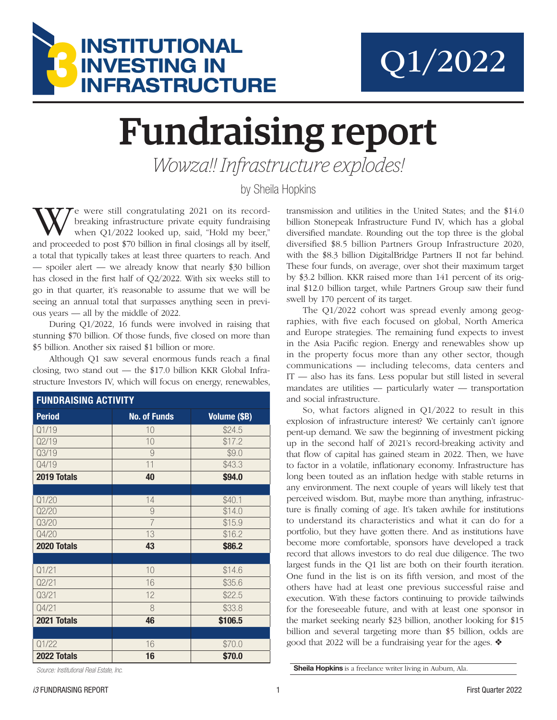



## Fundraising report

*Wowza!! Infrastructure explodes!*

by Sheila Hopkins

We were still congratulating 2021 on its recordbreaking infrastructure private equity fundraising when Q1/2022 looked up, said, "Hold my beer," and proceeded to post \$70 billion in final closings all by itself, a total that typically takes at least three quarters to reach. And — spoiler alert — we already know that nearly \$30 billion has closed in the first half of Q2/2022. With six weeks still to go in that quarter, it's reasonable to assume that we will be seeing an annual total that surpasses anything seen in previous years — all by the middle of 2022.

During Q1/2022, 16 funds were involved in raising that stunning \$70 billion. Of those funds, five closed on more than \$5 billion. Another six raised \$1 billion or more.

Although Q1 saw several enormous funds reach a final closing, two stand out — the \$17.0 billion KKR Global Infrastructure Investors IV, which will focus on energy, renewables,

| <b>FUNDRAISING ACTIVITY</b> |                     |              |  |  |  |
|-----------------------------|---------------------|--------------|--|--|--|
| <b>Period</b>               | <b>No. of Funds</b> | Volume (\$B) |  |  |  |
| Q1/19                       | 10                  | \$24.5       |  |  |  |
| Q2/19                       | 10                  | \$17.2       |  |  |  |
| Q3/19                       | 9                   | \$9.0        |  |  |  |
| Q4/19                       | 11                  | \$43.3       |  |  |  |
| 2019 Totals                 | 40                  | \$94.0       |  |  |  |
|                             |                     |              |  |  |  |
| Q1/20                       | 14                  | \$40.1       |  |  |  |
| Q2/20                       | 9                   | \$14.0       |  |  |  |
| Q3/20                       | $\overline{7}$      | \$15.9       |  |  |  |
| Q4/20                       | 13                  | \$16.2       |  |  |  |
| 2020 Totals                 | 43                  | \$86.2       |  |  |  |
|                             |                     |              |  |  |  |
| Q1/21                       | 10                  | \$14.6       |  |  |  |
| Q2/21                       | 16                  | \$35.6       |  |  |  |
| Q3/21                       | 12                  | \$22.5       |  |  |  |
| Q4/21                       | 8                   | \$33.8       |  |  |  |
| 2021 Totals                 | 46                  | \$106.5      |  |  |  |
|                             |                     |              |  |  |  |
| Q1/22                       | 16                  | \$70.0       |  |  |  |
| 2022 Totals                 | 16                  | \$70.0       |  |  |  |

*Source: Institutional Real Estate, Inc.*

transmission and utilities in the United States; and the \$14.0 billion Stonepeak Infrastructure Fund IV, which has a global diversified mandate. Rounding out the top three is the global diversified \$8.5 billion Partners Group Infrastructure 2020, with the \$8.3 billion DigitalBridge Partners II not far behind. These four funds, on average, over shot their maximum target by \$3.2 billion. KKR raised more than 141 percent of its original \$12.0 billion target, while Partners Group saw their fund swell by 170 percent of its target.

The Q1/2022 cohort was spread evenly among geographies, with five each focused on global, North America and Europe strategies. The remaining fund expects to invest in the Asia Pacific region. Energy and renewables show up in the property focus more than any other sector, though communications — including telecoms, data centers and IT — also has its fans. Less popular but still listed in several mandates are utilities — particularly water — transportation and social infrastructure.

So, what factors aligned in Q1/2022 to result in this explosion of infrastructure interest? We certainly can't ignore pent-up demand. We saw the beginning of investment picking up in the second half of 2021's record-breaking activity and that flow of capital has gained steam in 2022. Then, we have to factor in a volatile, inflationary economy. Infrastructure has long been touted as an inflation hedge with stable returns in any environment. The next couple of years will likely test that perceived wisdom. But, maybe more than anything, infrastructure is finally coming of age. It's taken awhile for institutions to understand its characteristics and what it can do for a portfolio, but they have gotten there. And as institutions have become more comfortable, sponsors have developed a track record that allows investors to do real due diligence. The two largest funds in the Q1 list are both on their fourth iteration. One fund in the list is on its fifth version, and most of the others have had at least one previous successful raise and execution. With these factors continuing to provide tailwinds for the foreseeable future, and with at least one sponsor in the market seeking nearly \$23 billion, another looking for \$15 billion and several targeting more than \$5 billion, odds are good that 2022 will be a fundraising year for the ages.  $\triangleleft$ 

Sheila Hopkins is a freelance writer living in Auburn, Ala.